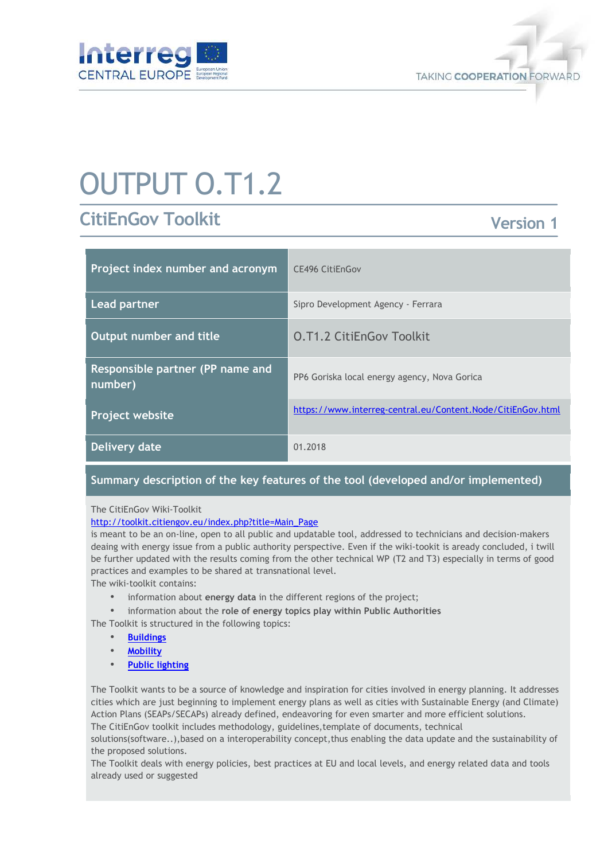



# OUTPUT O.T1.2

# **CitiEnGov Toolkit**

# **Version 1**

| Project index number and acronym            | CE496 CitiEnGov                                             |
|---------------------------------------------|-------------------------------------------------------------|
| Lead partner                                | Sipro Development Agency - Ferrara                          |
| <b>Output number and title</b>              | <b>O.T1.2 CitiEnGov Toolkit</b>                             |
| Responsible partner (PP name and<br>number) | PP6 Goriska local energy agency, Nova Gorica                |
| <b>Project website</b>                      | https://www.interreg-central.eu/Content.Node/CitiEnGov.html |
| Delivery date                               | 01.2018                                                     |

## **Summary description of the key features of the tool (developed and/or implemented)**

#### The CitiEnGov Wiki-Toolkit

#### http://toolkit.citiengov.eu/index.php?title=Main\_Page

is meant to be an on-line, open to all public and updatable tool, addressed to technicians and decision-makers deaing with energy issue from a public authority perspective. Even if the wiki-tookit is aready concluded, i twill be further updated with the results coming from the other technical WP (T2 and T3) especially in terms of good practices and examples to be shared at transnational level.

The wiki-toolkit contains:

- information about **energy data** in the different regions of the project;
- information about the **role of energy topics play within Public Authorities**

The Toolkit is structured in the following topics:

- **Buildings**
- **Mobility**
- **Public lighting**

The Toolkit wants to be a source of knowledge and inspiration for cities involved in energy planning. It addresses cities which are just beginning to implement energy plans as well as cities with Sustainable Energy (and Climate) Action Plans (SEAPs/SECAPs) already defined, endeavoring for even smarter and more efficient solutions. The CitiEnGov toolkit includes methodology, guidelines,template of documents, technical

solutions(software..),based on a interoperability concept,thus enabling the data update and the sustainability of the proposed solutions.

The Toolkit deals with energy policies, best practices at EU and local levels, and energy related data and tools already used or suggested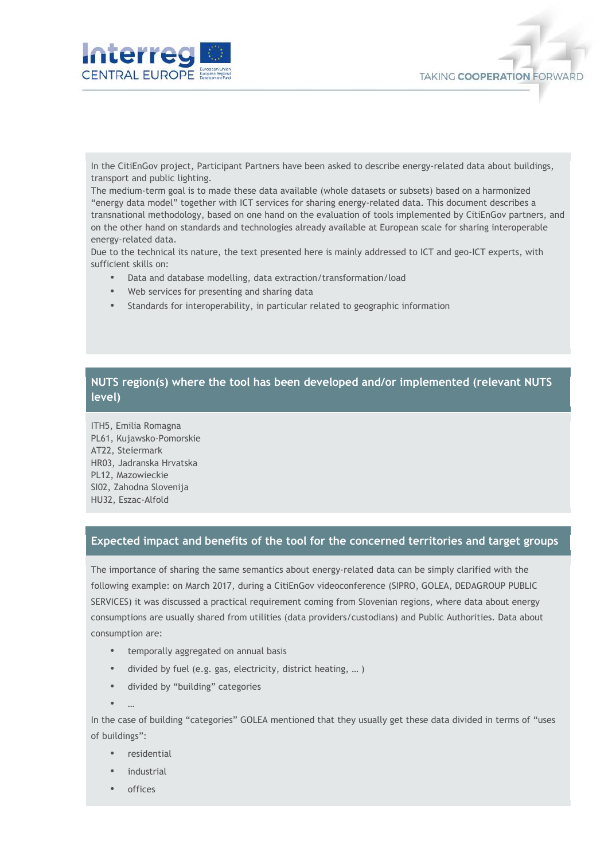



In the CitiEnGov project, Participant Partners have been asked to describe energy-related data about buildings, transport and public lighting.

The medium-term goal is to made these data available (whole datasets or subsets) based on a harmonized "energy data model" together with ICT services for sharing energy-related data. This document describes a transnational methodology, based on one hand on the evaluation of tools implemented by CitiEnGov partners, and on the other hand on standards and technologies already available at European scale for sharing interoperable energy-related data.

Due to the technical its nature, the text presented here is mainly addressed to ICT and geo-ICT experts, with sufficient skills on:

- Data and database modelling, data extraction/transformation/load
- Web services for presenting and sharing data
- Standards for interoperability, in particular related to geographic information

### **NUTS region(s) where the tool has been developed and/or implemented (relevant NUTS level)**

ITH5, Emilia Romagna PL61, Kujawsko-Pomorskie AT22, Steiermark HR03, Jadranska Hrvatska PL12, Mazowieckie SI02, Zahodna Slovenija HU32, Eszac-Alfold

#### **Expected impact and benefits of the tool for the concerned territories and target groups**

The importance of sharing the same semantics about energy-related data can be simply clarified with the following example: on March 2017, during a CitiEnGov videoconference (SIPRO, GOLEA, DEDAGROUP PUBLIC SERVICES) it was discussed a practical requirement coming from Slovenian regions, where data about energy consumptions are usually shared from utilities (data providers/custodians) and Public Authorities. Data about consumption are:

- temporally aggregated on annual basis
- divided by fuel (e.g. gas, electricity, district heating, … )
- divided by "building" categories
- …

In the case of building "categories" GOLEA mentioned that they usually get these data divided in terms of "uses of buildings":

- residential
- industrial
- offices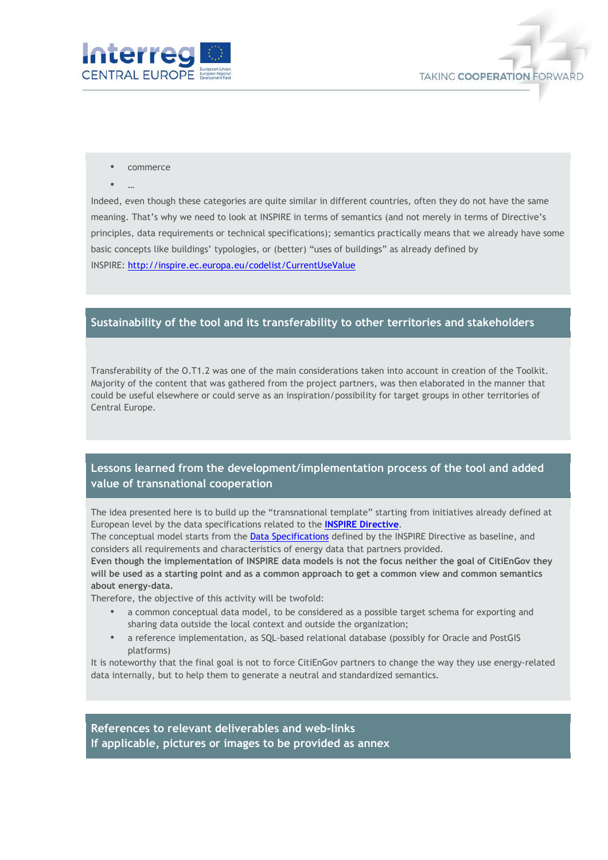



- commerce
- $\bullet$

Indeed, even though these categories are quite similar in different countries, often they do not have the same meaning. That's why we need to look at INSPIRE in terms of semantics (and not merely in terms of Directive's principles, data requirements or technical specifications); semantics practically means that we already have some basic concepts like buildings' typologies, or (better) "uses of buildings" as already defined by INSPIRE: http://inspire.ec.europa.eu/codelist/CurrentUseValue

#### **Sustainability of the tool and its transferability to other territories and stakeholders**

Transferability of the O.T1.2 was one of the main considerations taken into account in creation of the Toolkit. Majority of the content that was gathered from the project partners, was then elaborated in the manner that could be useful elsewhere or could serve as an inspiration/possibility for target groups in other territories of Central Europe.

## **Lessons learned from the development/implementation process of the tool and added value of transnational cooperation**

The idea presented here is to build up the "transnational template" starting from initiatives already defined at European level by the data specifications related to the **INSPIRE Directive**.

The conceptual model starts from the Data Specifications defined by the INSPIRE Directive as baseline, and considers all requirements and characteristics of energy data that partners provided.

**Even though the implementation of INSPIRE data models is not the focus neither the goal of CitiEnGov they will be used as a starting point and as a common approach to get a common view and common semantics about energy-data.**

Therefore, the objective of this activity will be twofold:

- a common conceptual data model, to be considered as a possible target schema for exporting and sharing data outside the local context and outside the organization;
- a reference implementation, as SQL-based relational database (possibly for Oracle and PostGIS platforms)

It is noteworthy that the final goal is not to force CitiEnGov partners to change the way they use energy-related data internally, but to help them to generate a neutral and standardized semantics.

**References to relevant deliverables and web-links If applicable, pictures or images to be provided as annex**